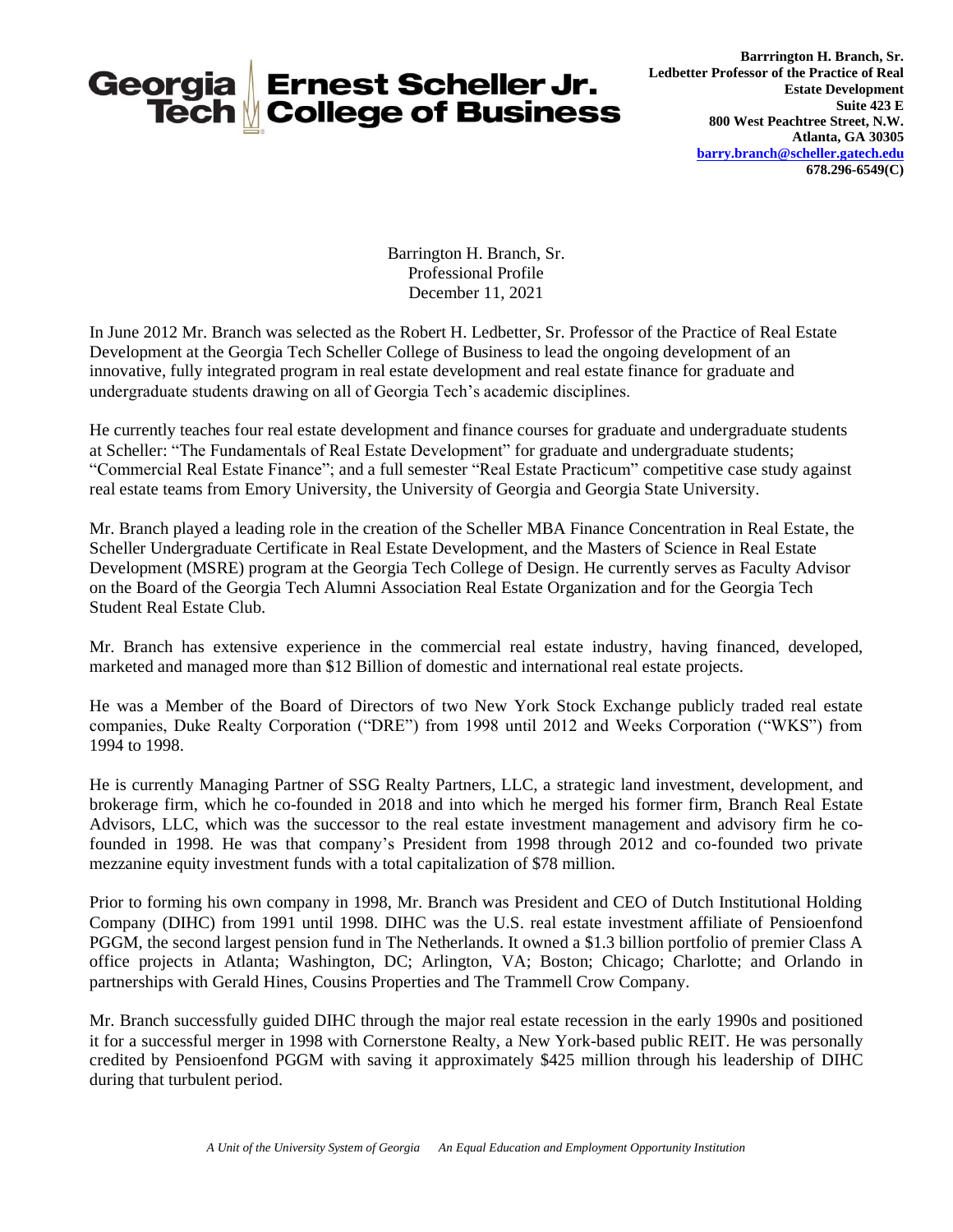

Barrington H. Branch, Sr. Professional Profile December 11, 2021

In June 2012 Mr. Branch was selected as the Robert H. Ledbetter, Sr. Professor of the Practice of Real Estate Development at the Georgia Tech Scheller College of Business to lead the ongoing development of an innovative, fully integrated program in real estate development and real estate finance for graduate and undergraduate students drawing on all of Georgia Tech's academic disciplines.

He currently teaches four real estate development and finance courses for graduate and undergraduate students at Scheller: "The Fundamentals of Real Estate Development" for graduate and undergraduate students; "Commercial Real Estate Finance"; and a full semester "Real Estate Practicum" competitive case study against real estate teams from Emory University, the University of Georgia and Georgia State University.

Mr. Branch played a leading role in the creation of the Scheller MBA Finance Concentration in Real Estate, the Scheller Undergraduate Certificate in Real Estate Development, and the Masters of Science in Real Estate Development (MSRE) program at the Georgia Tech College of Design. He currently serves as Faculty Advisor on the Board of the Georgia Tech Alumni Association Real Estate Organization and for the Georgia Tech Student Real Estate Club.

Mr. Branch has extensive experience in the commercial real estate industry, having financed, developed, marketed and managed more than \$12 Billion of domestic and international real estate projects.

He was a Member of the Board of Directors of two New York Stock Exchange publicly traded real estate companies, Duke Realty Corporation ("DRE") from 1998 until 2012 and Weeks Corporation ("WKS") from 1994 to 1998.

He is currently Managing Partner of SSG Realty Partners, LLC, a strategic land investment, development, and brokerage firm, which he co-founded in 2018 and into which he merged his former firm, Branch Real Estate Advisors, LLC, which was the successor to the real estate investment management and advisory firm he cofounded in 1998. He was that company's President from 1998 through 2012 and co-founded two private mezzanine equity investment funds with a total capitalization of \$78 million.

Prior to forming his own company in 1998, Mr. Branch was President and CEO of Dutch Institutional Holding Company (DIHC) from 1991 until 1998. DIHC was the U.S. real estate investment affiliate of Pensioenfond PGGM, the second largest pension fund in The Netherlands. It owned a \$1.3 billion portfolio of premier Class A office projects in Atlanta; Washington, DC; Arlington, VA; Boston; Chicago; Charlotte; and Orlando in partnerships with Gerald Hines, Cousins Properties and The Trammell Crow Company.

Mr. Branch successfully guided DIHC through the major real estate recession in the early 1990s and positioned it for a successful merger in 1998 with Cornerstone Realty, a New York-based public REIT. He was personally credited by Pensioenfond PGGM with saving it approximately \$425 million through his leadership of DIHC during that turbulent period.